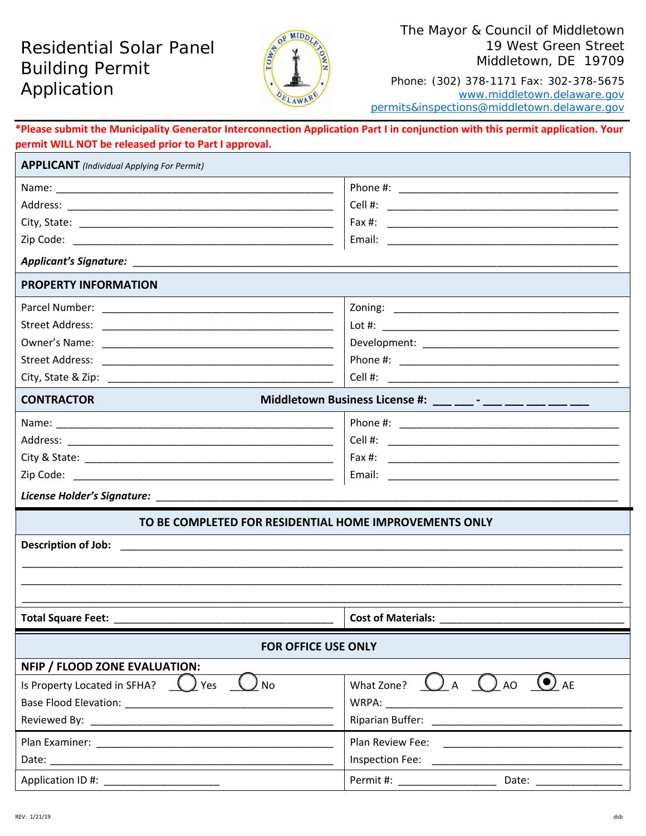# Residential Solar Panel Building Permit Application



### The Mayor & Council of Middletown 19 West Green Street Middletown, DE 19709

Phone: (302) 378-1171 Fax: 302-378-5675 www.middletown.delaware.gov permits&inspections@middletown.delaware.gov

# **\*Please submit the Municipality Generator Interconnection Application Part I in conjunction with this permit application. Your permit WILL NOT be released prior to Part I approval.**

| Middletown Business License #: ___ ___ - ___ __ __ ___ ___ ___ ___                                                                                                                                                             |  |  |  |
|--------------------------------------------------------------------------------------------------------------------------------------------------------------------------------------------------------------------------------|--|--|--|
|                                                                                                                                                                                                                                |  |  |  |
|                                                                                                                                                                                                                                |  |  |  |
| Fax #:                                                                                                                                                                                                                         |  |  |  |
|                                                                                                                                                                                                                                |  |  |  |
|                                                                                                                                                                                                                                |  |  |  |
| TO BE COMPLETED FOR RESIDENTIAL HOME IMPROVEMENTS ONLY                                                                                                                                                                         |  |  |  |
|                                                                                                                                                                                                                                |  |  |  |
|                                                                                                                                                                                                                                |  |  |  |
|                                                                                                                                                                                                                                |  |  |  |
|                                                                                                                                                                                                                                |  |  |  |
|                                                                                                                                                                                                                                |  |  |  |
| FOR OFFICE USE ONLY                                                                                                                                                                                                            |  |  |  |
|                                                                                                                                                                                                                                |  |  |  |
| What Zone? $\bigcup$ A $\bigcup$ AO $\bigcup$ AE                                                                                                                                                                               |  |  |  |
|                                                                                                                                                                                                                                |  |  |  |
| Riparian Buffer: National Property of Paris and Property and Property and Property and Property and Property and Property and Property and Property and Property and Property and Property and Property and Property and Prope |  |  |  |
| Plan Review Fee:<br><u> 1980 - Jan Barbara Barbara, manazarta da </u>                                                                                                                                                          |  |  |  |
| Inspection Fee:                                                                                                                                                                                                                |  |  |  |
| Permit #: ____________________<br>Date: $\_\_$                                                                                                                                                                                 |  |  |  |
|                                                                                                                                                                                                                                |  |  |  |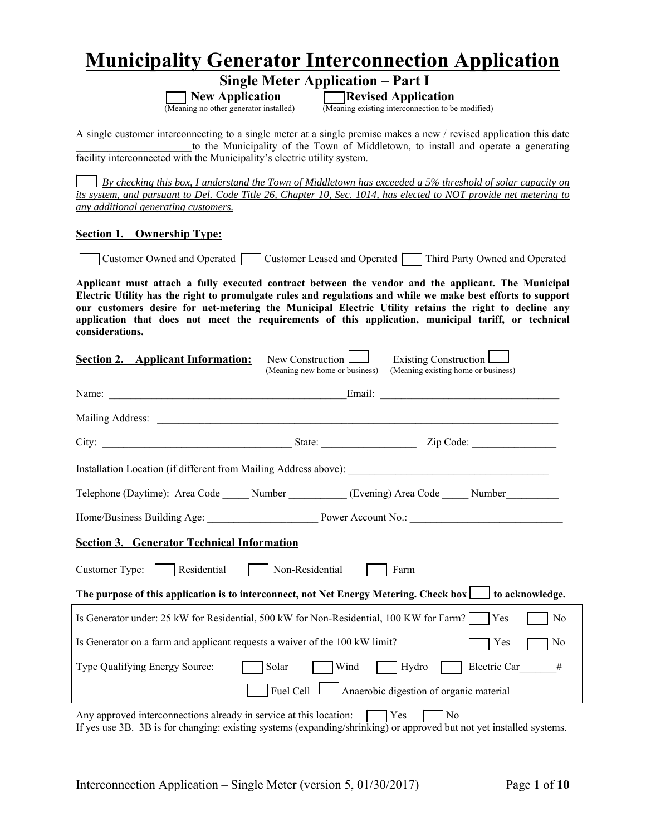# **Municipality Generator Interconnection Application**

 **Single Meter Application – Part I**

**New Application**<br>(Meaning no other generator installed) **Revised Application**<br>(Meaning existing interconnection to be

(Meaning existing interconnection to be modified)

A single customer interconnecting to a single meter at a single premise makes a new / revised application this date to the Municipality of the Town of Middletown, to install and operate a generating facility interconnected with the Municipality's electric utility system.

 *By checking this box, I understand the Town of Middletown has exceeded a 5% threshold of solar capacity on its system, and pursuant to Del. Code Title 26, Chapter 10, Sec. 1014, has elected to NOT provide net metering to any additional generating customers.* 

#### **Section 1. Ownership Type:**

 $\overline{a}$ 

Customer Owned and Operated Customer Leased and Operated Third Party Owned and Operated

**Applicant must attach a fully executed contract between the vendor and the applicant. The Municipal Electric Utility has the right to promulgate rules and regulations and while we make best efforts to support our customers desire for net-metering the Municipal Electric Utility retains the right to decline any application that does not meet the requirements of this application, municipal tariff, or technical considerations.**

| <b>Section 2.</b> Applicant Information:                                                             | New Construction<br>(Meaning new home or business) | Existing Construction<br>(Meaning existing home or business)                                              |
|------------------------------------------------------------------------------------------------------|----------------------------------------------------|-----------------------------------------------------------------------------------------------------------|
|                                                                                                      |                                                    |                                                                                                           |
|                                                                                                      |                                                    |                                                                                                           |
|                                                                                                      |                                                    |                                                                                                           |
| Installation Location (if different from Mailing Address above): ___________________________________ |                                                    |                                                                                                           |
| Telephone (Daytime): Area Code ______ Number __________ (Evening) Area Code _____ Number __________  |                                                    |                                                                                                           |
|                                                                                                      |                                                    |                                                                                                           |
| <b>Section 3. Generator Technical Information</b>                                                    |                                                    |                                                                                                           |
| Customer Type: Residential Non-Residential                                                           |                                                    | Farm                                                                                                      |
|                                                                                                      |                                                    | The purpose of this application is to interconnect, not Net Energy Metering. Check box in to acknowledge. |
| Is Generator under: 25 kW for Residential, 500 kW for Non-Residential, 100 KW for Farm?              |                                                    | $\exists$ Yes<br>No                                                                                       |
| Is Generator on a farm and applicant requests a waiver of the 100 kW limit?                          |                                                    | Yes<br>No                                                                                                 |
| Type Qualifying Energy Source:                                                                       | Solar<br>Wind                                      | Hydro<br>Electric Car #                                                                                   |
|                                                                                                      | Fuel Cell                                          | Anaerobic digestion of organic material                                                                   |
| Any approved interconnections already in service at this location:                                   |                                                    | Yes<br>No                                                                                                 |

If yes use 3B. 3B is for changing: existing systems (expanding/shrinking) or approved but not yet installed systems.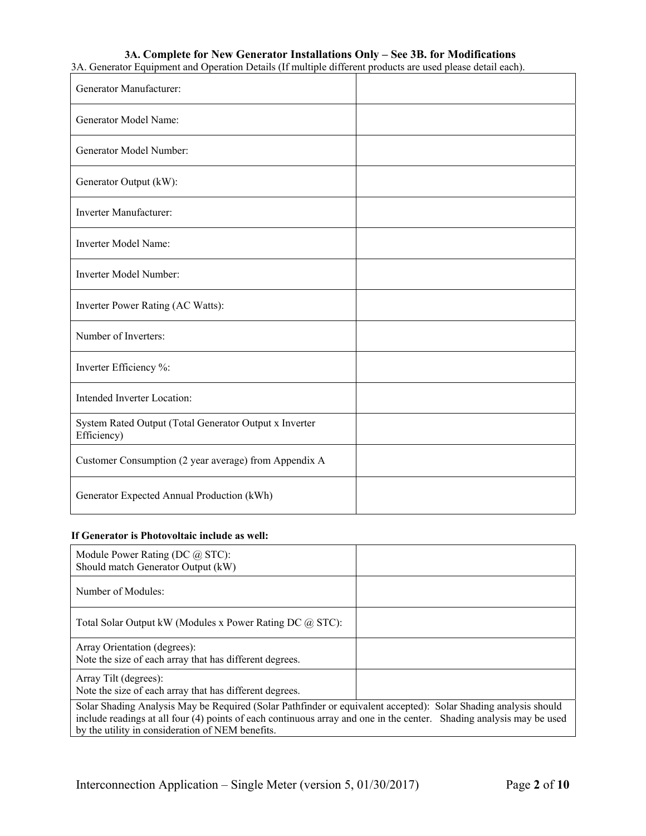# **3A. Complete for New Generator Installations Only – See 3B. for Modifications**

3A. Generator Equipment and Operation Details (If multiple different products are used please detail each).

| Generator Manufacturer:                                               |  |
|-----------------------------------------------------------------------|--|
| Generator Model Name:                                                 |  |
| Generator Model Number:                                               |  |
| Generator Output (kW):                                                |  |
| Inverter Manufacturer:                                                |  |
| Inverter Model Name:                                                  |  |
| Inverter Model Number:                                                |  |
| Inverter Power Rating (AC Watts):                                     |  |
| Number of Inverters:                                                  |  |
| Inverter Efficiency %:                                                |  |
| Intended Inverter Location:                                           |  |
| System Rated Output (Total Generator Output x Inverter<br>Efficiency) |  |
| Customer Consumption (2 year average) from Appendix A                 |  |
| Generator Expected Annual Production (kWh)                            |  |

#### **If Generator is Photovoltaic include as well:**

| Module Power Rating (DC $\omega$ STC):<br>Should match Generator Output (kW)                                                                                                                                                                                                                |  |  |  |
|---------------------------------------------------------------------------------------------------------------------------------------------------------------------------------------------------------------------------------------------------------------------------------------------|--|--|--|
| Number of Modules:                                                                                                                                                                                                                                                                          |  |  |  |
| Total Solar Output kW (Modules x Power Rating DC @ STC):                                                                                                                                                                                                                                    |  |  |  |
| Array Orientation (degrees):<br>Note the size of each array that has different degrees.                                                                                                                                                                                                     |  |  |  |
| Array Tilt (degrees):<br>Note the size of each array that has different degrees.                                                                                                                                                                                                            |  |  |  |
| Solar Shading Analysis May be Required (Solar Pathfinder or equivalent accepted): Solar Shading analysis should<br>include readings at all four (4) points of each continuous array and one in the center. Shading analysis may be used<br>by the utility in consideration of NEM benefits. |  |  |  |

┑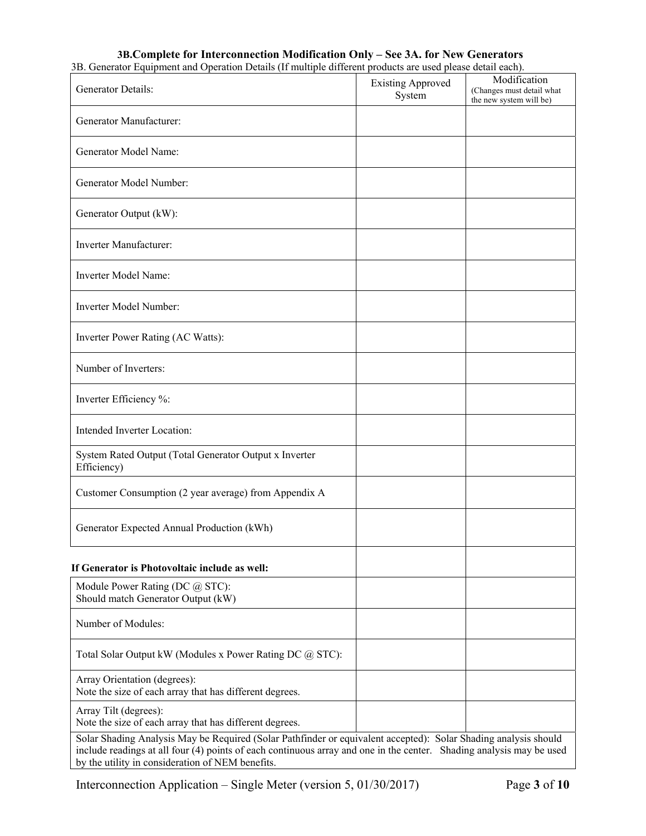### **3B.Complete for Interconnection Modification Only – See 3A. for New Generators**

3B. Generator Equipment and Operation Details (If multiple different products are used please detail each).

| Generator Details:                                                                                                                                                                                                                                                                          | <b>Existing Approved</b><br>System | Modification<br>(Changes must detail what<br>the new system will be) |
|---------------------------------------------------------------------------------------------------------------------------------------------------------------------------------------------------------------------------------------------------------------------------------------------|------------------------------------|----------------------------------------------------------------------|
| Generator Manufacturer:                                                                                                                                                                                                                                                                     |                                    |                                                                      |
| Generator Model Name:                                                                                                                                                                                                                                                                       |                                    |                                                                      |
| Generator Model Number:                                                                                                                                                                                                                                                                     |                                    |                                                                      |
| Generator Output (kW):                                                                                                                                                                                                                                                                      |                                    |                                                                      |
| Inverter Manufacturer:                                                                                                                                                                                                                                                                      |                                    |                                                                      |
| Inverter Model Name:                                                                                                                                                                                                                                                                        |                                    |                                                                      |
| Inverter Model Number:                                                                                                                                                                                                                                                                      |                                    |                                                                      |
| Inverter Power Rating (AC Watts):                                                                                                                                                                                                                                                           |                                    |                                                                      |
| Number of Inverters:                                                                                                                                                                                                                                                                        |                                    |                                                                      |
| Inverter Efficiency %:                                                                                                                                                                                                                                                                      |                                    |                                                                      |
| Intended Inverter Location:                                                                                                                                                                                                                                                                 |                                    |                                                                      |
| System Rated Output (Total Generator Output x Inverter<br>Efficiency)                                                                                                                                                                                                                       |                                    |                                                                      |
| Customer Consumption (2 year average) from Appendix A                                                                                                                                                                                                                                       |                                    |                                                                      |
| Generator Expected Annual Production (kWh)                                                                                                                                                                                                                                                  |                                    |                                                                      |
| If Generator is Photovoltaic include as well:                                                                                                                                                                                                                                               |                                    |                                                                      |
| Module Power Rating (DC @ STC):<br>Should match Generator Output (kW)                                                                                                                                                                                                                       |                                    |                                                                      |
| Number of Modules:                                                                                                                                                                                                                                                                          |                                    |                                                                      |
| Total Solar Output kW (Modules x Power Rating DC @ STC):                                                                                                                                                                                                                                    |                                    |                                                                      |
| Array Orientation (degrees):<br>Note the size of each array that has different degrees.                                                                                                                                                                                                     |                                    |                                                                      |
| Array Tilt (degrees):<br>Note the size of each array that has different degrees.                                                                                                                                                                                                            |                                    |                                                                      |
| Solar Shading Analysis May be Required (Solar Pathfinder or equivalent accepted): Solar Shading analysis should<br>include readings at all four (4) points of each continuous array and one in the center. Shading analysis may be used<br>by the utility in consideration of NEM benefits. |                                    |                                                                      |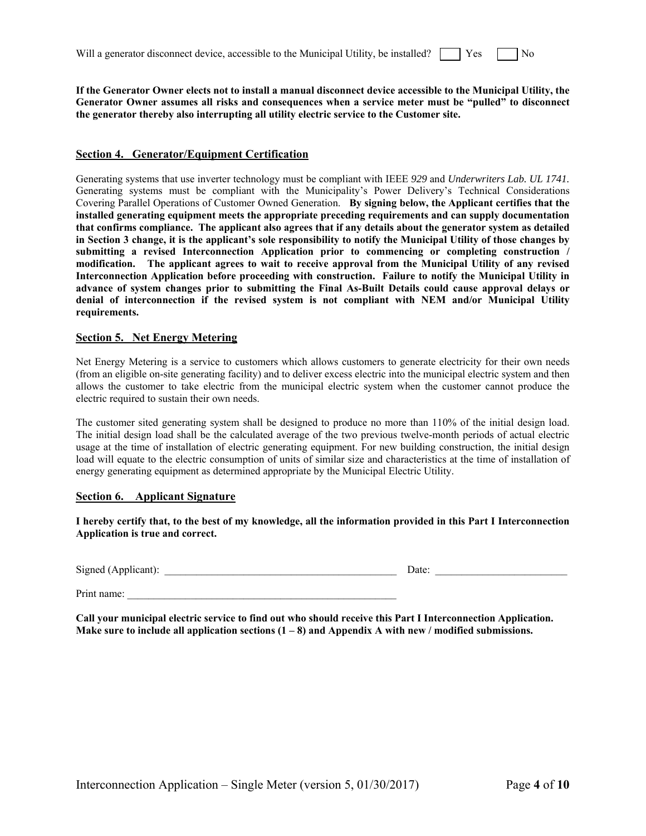| Will a generator disconnect device, accessible to the Municipal Utility, be installed? $\parallel \qquad$ Yes |  |  |  | $\log$ |  |
|---------------------------------------------------------------------------------------------------------------|--|--|--|--------|--|
|                                                                                                               |  |  |  |        |  |

**If the Generator Owner elects not to install a manual disconnect device accessible to the Municipal Utility, the Generator Owner assumes all risks and consequences when a service meter must be "pulled" to disconnect the generator thereby also interrupting all utility electric service to the Customer site.** 

#### **Section 4. Generator/Equipment Certification**

Generating systems that use inverter technology must be compliant with IEEE *929* and *Underwriters Lab. UL 1741.*  Generating systems must be compliant with the Municipality's Power Delivery's Technical Considerations Covering Parallel Operations of Customer Owned Generation. **By signing below, the Applicant certifies that the installed generating equipment meets the appropriate preceding requirements and can supply documentation that confirms compliance. The applicant also agrees that if any details about the generator system as detailed in Section 3 change, it is the applicant's sole responsibility to notify the Municipal Utility of those changes by submitting a revised Interconnection Application prior to commencing or completing construction / modification. The applicant agrees to wait to receive approval from the Municipal Utility of any revised Interconnection Application before proceeding with construction. Failure to notify the Municipal Utility in advance of system changes prior to submitting the Final As-Built Details could cause approval delays or denial of interconnection if the revised system is not compliant with NEM and/or Municipal Utility requirements.** 

#### **Section 5. Net Energy Metering**

Net Energy Metering is a service to customers which allows customers to generate electricity for their own needs (from an eligible on-site generating facility) and to deliver excess electric into the municipal electric system and then allows the customer to take electric from the municipal electric system when the customer cannot produce the electric required to sustain their own needs.

The customer sited generating system shall be designed to produce no more than 110% of the initial design load. The initial design load shall be the calculated average of the two previous twelve-month periods of actual electric usage at the time of installation of electric generating equipment. For new building construction, the initial design load will equate to the electric consumption of units of similar size and characteristics at the time of installation of energy generating equipment as determined appropriate by the Municipal Electric Utility.

#### **Section 6. Applicant Signature**

**I hereby certify that, to the best of my knowledge, all the information provided in this Part I Interconnection Application is true and correct.** 

| Signed (Applicant): |  |
|---------------------|--|
|                     |  |

 $\text{Date:}$ 

Print name:

**Call your municipal electric service to find out who should receive this Part I Interconnection Application. Make sure to include all application sections (1 – 8) and Appendix A with new / modified submissions.**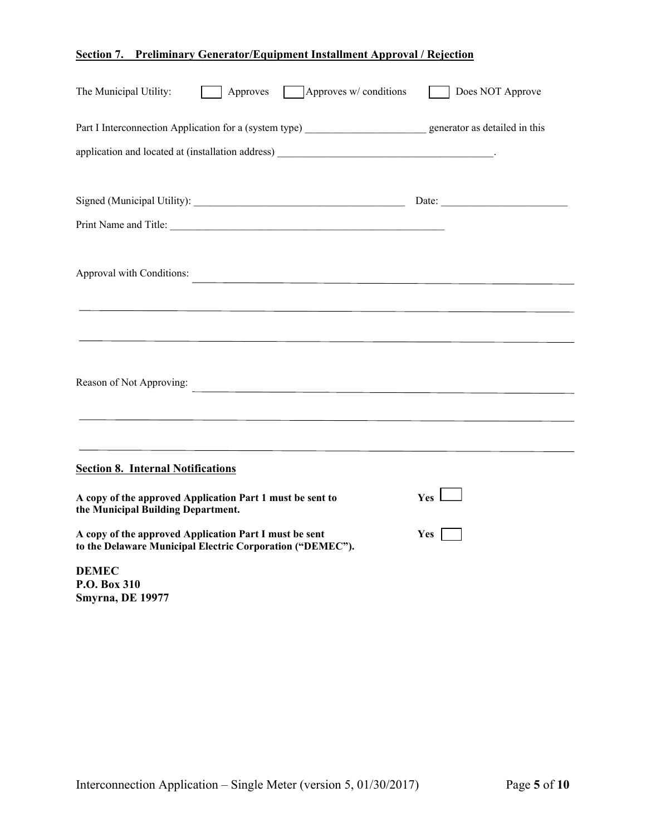## **Section 7. Preliminary Generator/Equipment Installment Approval / Rejection**

| $\Box$ Approves w/ conditions<br>The Municipal Utility:<br>Approves                                                 | Does NOT Approve |
|---------------------------------------------------------------------------------------------------------------------|------------------|
| Part I Interconnection Application for a (system type) generator as detailed in this                                |                  |
|                                                                                                                     |                  |
|                                                                                                                     | Date:            |
| Print Name and Title:                                                                                               |                  |
| Approval with Conditions:                                                                                           |                  |
|                                                                                                                     |                  |
|                                                                                                                     |                  |
| Reason of Not Approving:                                                                                            |                  |
|                                                                                                                     |                  |
|                                                                                                                     |                  |
| <b>Section 8. Internal Notifications</b>                                                                            |                  |
| A copy of the approved Application Part 1 must be sent to<br>the Municipal Building Department.                     | Yes 1            |
| A copy of the approved Application Part I must be sent<br>to the Delaware Municipal Electric Corporation ("DEMEC"). | <b>Yes</b>       |
| <b>DEMEC</b><br>P.O. Box 310                                                                                        |                  |

**Smyrna, DE 19977**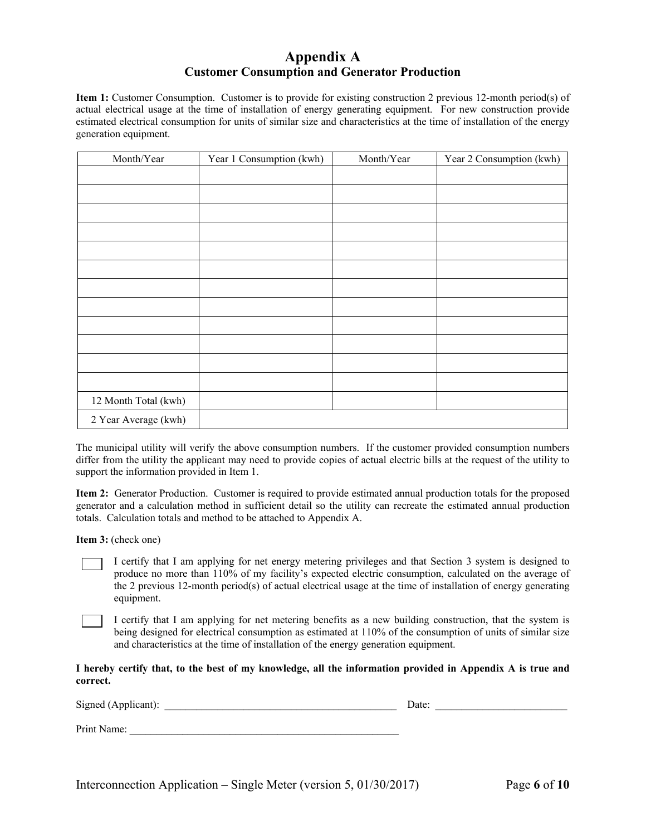## **Appendix A Customer Consumption and Generator Production**

**Item 1:** Customer Consumption. Customer is to provide for existing construction 2 previous 12-month period(s) of actual electrical usage at the time of installation of energy generating equipment. For new construction provide estimated electrical consumption for units of similar size and characteristics at the time of installation of the energy generation equipment.

| Month/Year           | Year 1 Consumption (kwh) | Month/Year | Year 2 Consumption (kwh) |
|----------------------|--------------------------|------------|--------------------------|
|                      |                          |            |                          |
|                      |                          |            |                          |
|                      |                          |            |                          |
|                      |                          |            |                          |
|                      |                          |            |                          |
|                      |                          |            |                          |
|                      |                          |            |                          |
|                      |                          |            |                          |
|                      |                          |            |                          |
|                      |                          |            |                          |
|                      |                          |            |                          |
|                      |                          |            |                          |
| 12 Month Total (kwh) |                          |            |                          |
| 2 Year Average (kwh) |                          |            |                          |

The municipal utility will verify the above consumption numbers. If the customer provided consumption numbers differ from the utility the applicant may need to provide copies of actual electric bills at the request of the utility to support the information provided in Item 1.

**Item 2:** Generator Production. Customer is required to provide estimated annual production totals for the proposed generator and a calculation method in sufficient detail so the utility can recreate the estimated annual production totals. Calculation totals and method to be attached to Appendix A.

**Item 3:** (check one)

I certify that I am applying for net energy metering privileges and that Section 3 system is designed to produce no more than 110% of my facility's expected electric consumption, calculated on the average of the 2 previous 12-month period(s) of actual electrical usage at the time of installation of energy generating equipment.

I certify that I am applying for net metering benefits as a new building construction, that the system is being designed for electrical consumption as estimated at 110% of the consumption of units of similar size and characteristics at the time of installation of the energy generation equipment.

#### **I hereby certify that, to the best of my knowledge, all the information provided in Appendix A is true and correct.**

Signed (Applicant): \_\_\_\_\_\_\_\_\_\_\_\_\_\_\_\_\_\_\_\_\_\_\_\_\_\_\_\_\_\_\_\_\_\_\_\_\_\_\_\_\_\_\_\_ Date: \_\_\_\_\_\_\_\_\_\_\_\_\_\_\_\_\_\_\_\_\_\_\_\_\_ Print Name: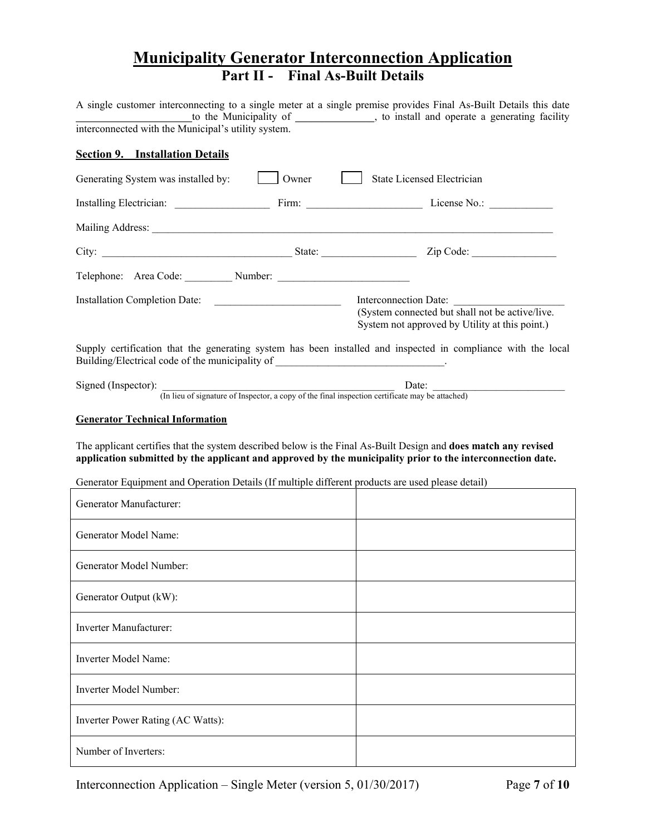# **Municipality Generator Interconnection Application Part II - Final As-Built Details**

|                                                                                                   |       | A single customer interconnecting to a single meter at a single premise provides Final As-Built Details this date          |
|---------------------------------------------------------------------------------------------------|-------|----------------------------------------------------------------------------------------------------------------------------|
| interconnected with the Municipal's utility system.                                               |       | to the Municipality of _____________, to install and operate a generating facility                                         |
| <b>Section 9. Installation Details</b>                                                            |       |                                                                                                                            |
| Generating System was installed by:                                                               | Owner | State Licensed Electrician                                                                                                 |
|                                                                                                   |       |                                                                                                                            |
|                                                                                                   |       |                                                                                                                            |
|                                                                                                   |       |                                                                                                                            |
| Telephone: Area Code: Number: Number:                                                             |       |                                                                                                                            |
|                                                                                                   |       | Interconnection Date:<br>(System connected but shall not be active/live.<br>System not approved by Utility at this point.) |
| Building/Electrical code of the municipality of ________________________________                  |       | Supply certification that the generating system has been installed and inspected in compliance with the local              |
| Signed (Inspector):                                                                               |       | Date:<br>(In lieu of signature of Inspector, a copy of the final inspection certificate may be attached)                   |
| Generator Equipment and Operation Details (If multiple different products are used please detail) |       | application submitted by the applicant and approved by the municipality prior to the interconnection date.                 |
| Generator Manufacturer:                                                                           |       |                                                                                                                            |
| Generator Model Name:                                                                             |       |                                                                                                                            |
| Generator Model Number:                                                                           |       |                                                                                                                            |
| Generator Output (kW):                                                                            |       |                                                                                                                            |
| Inverter Manufacturer:                                                                            |       |                                                                                                                            |
| Inverter Model Name:                                                                              |       |                                                                                                                            |
| Inverter Model Number:                                                                            |       |                                                                                                                            |
| Inverter Power Rating (AC Watts):                                                                 |       |                                                                                                                            |
| Number of Inverters:                                                                              |       |                                                                                                                            |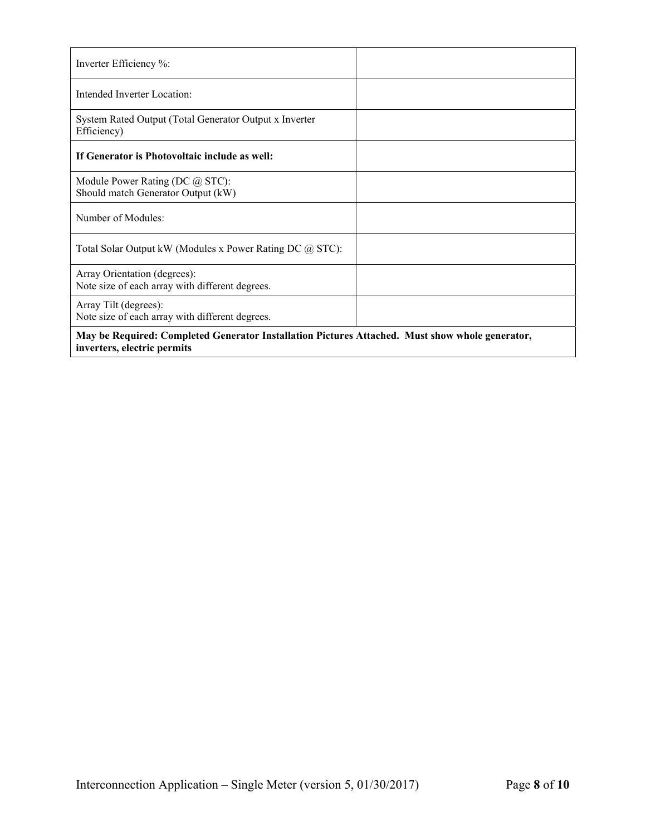| Inverter Efficiency %:                                                                          |  |
|-------------------------------------------------------------------------------------------------|--|
| Intended Inverter Location:                                                                     |  |
| System Rated Output (Total Generator Output x Inverter<br>Efficiency)                           |  |
| If Generator is Photovoltaic include as well:                                                   |  |
| Module Power Rating (DC @ STC):<br>Should match Generator Output (kW)                           |  |
| Number of Modules:                                                                              |  |
| Total Solar Output kW (Modules x Power Rating DC @ STC):                                        |  |
| Array Orientation (degrees):<br>Note size of each array with different degrees.                 |  |
| Array Tilt (degrees):<br>Note size of each array with different degrees.                        |  |
| May be Required: Completed Generator Installation Pictures Attached. Must show whole generator, |  |

**inverters, electric permits**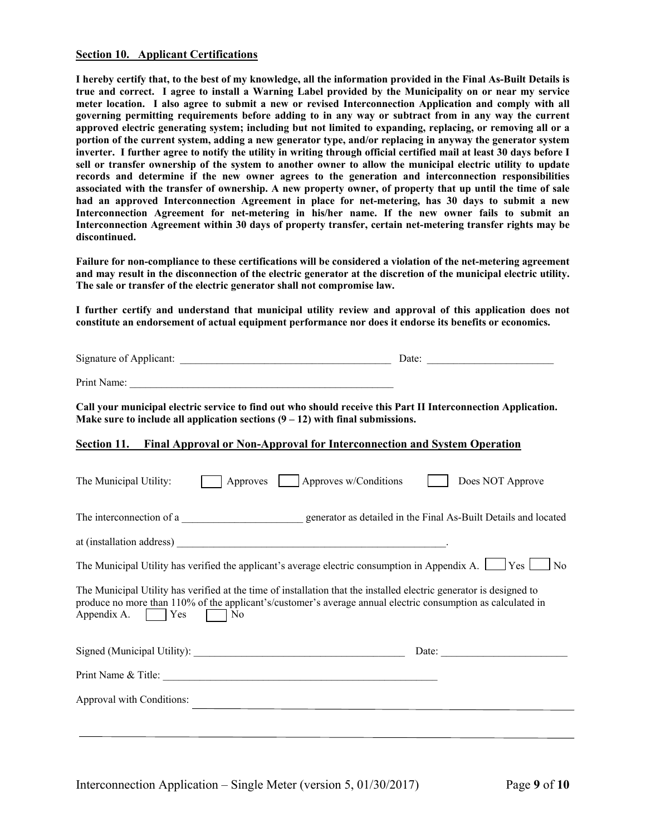#### **Section 10. Applicant Certifications**

**I hereby certify that, to the best of my knowledge, all the information provided in the Final As-Built Details is true and correct. I agree to install a Warning Label provided by the Municipality on or near my service meter location. I also agree to submit a new or revised Interconnection Application and comply with all governing permitting requirements before adding to in any way or subtract from in any way the current approved electric generating system; including but not limited to expanding, replacing, or removing all or a portion of the current system, adding a new generator type, and/or replacing in anyway the generator system inverter. I further agree to notify the utility in writing through official certified mail at least 30 days before I sell or transfer ownership of the system to another owner to allow the municipal electric utility to update records and determine if the new owner agrees to the generation and interconnection responsibilities associated with the transfer of ownership. A new property owner, of property that up until the time of sale had an approved Interconnection Agreement in place for net-metering, has 30 days to submit a new Interconnection Agreement for net-metering in his/her name. If the new owner fails to submit an Interconnection Agreement within 30 days of property transfer, certain net-metering transfer rights may be discontinued.** 

**Failure for non-compliance to these certifications will be considered a violation of the net-metering agreement and may result in the disconnection of the electric generator at the discretion of the municipal electric utility. The sale or transfer of the electric generator shall not compromise law.** 

**I further certify and understand that municipal utility review and approval of this application does not constitute an endorsement of actual equipment performance nor does it endorse its benefits or economics.** 

| Call your municipal electric service to find out who should receive this Part II Interconnection Application.<br>Make sure to include all application sections $(9 - 12)$ with final submissions.                                                         |                  |
|-----------------------------------------------------------------------------------------------------------------------------------------------------------------------------------------------------------------------------------------------------------|------------------|
| Final Approval or Non-Approval for Interconnection and System Operation<br>Section 11.                                                                                                                                                                    |                  |
| Approves   Approves w/Conditions<br>The Municipal Utility:                                                                                                                                                                                                | Does NOT Approve |
|                                                                                                                                                                                                                                                           |                  |
|                                                                                                                                                                                                                                                           |                  |
| The Municipal Utility has verified the applicant's average electric consumption in Appendix A. $\Box$ Yes $\Box$ No                                                                                                                                       |                  |
| The Municipal Utility has verified at the time of installation that the installed electric generator is designed to<br>produce no more than 110% of the applicant's/customer's average annual electric consumption as calculated in<br>Appendix A. Yes No |                  |
|                                                                                                                                                                                                                                                           |                  |
| Print Name & Title:                                                                                                                                                                                                                                       |                  |
| Approval with Conditions:                                                                                                                                                                                                                                 |                  |
|                                                                                                                                                                                                                                                           |                  |